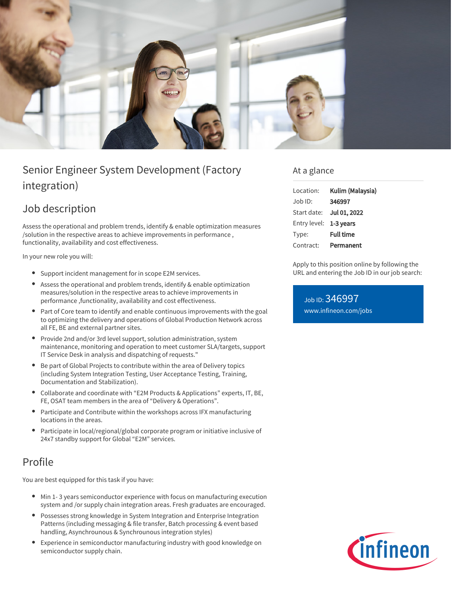

# Senior Engineer System Development (Factory integration)

## Job description

Assess the operational and problem trends, identify & enable optimization measures /solution in the respective areas to achieve improvements in performance , functionality, availability and cost effectiveness.

In your new role you will:

- Support incident management for in scope E2M services.
- Assess the operational and problem trends, identify & enable optimization measures/solution in the respective areas to achieve improvements in performance ,functionality, availability and cost effectiveness.
- Part of Core team to identify and enable continuous improvements with the goal to optimizing the delivery and operations of Global Production Network across all FE, BE and external partner sites.
- Provide 2nd and/or 3rd level support, solution administration, system maintenance, monitoring and operation to meet customer SLA/targets, support IT Service Desk in analysis and dispatching of requests."
- Be part of Global Projects to contribute within the area of Delivery topics (including System Integration Testing, User Acceptance Testing, Training, Documentation and Stabilization).
- Collaborate and coordinate with "E2M Products & Applications" experts, IT, BE, FE, OSAT team members in the area of "Delivery & Operations".
- Participate and Contribute within the workshops across IFX manufacturing locations in the areas.
- Participate in local/regional/global corporate program or initiative inclusive of 24x7 standby support for Global "E2M" services.

## Profile

You are best equipped for this task if you have:

- Min 1- 3 years semiconductor experience with focus on manufacturing execution system and /or supply chain integration areas. Fresh graduates are encouraged.
- Possesses strong knowledge in System Integration and Enterprise Integration Patterns (including messaging & file transfer, Batch processing & event based handling, Asynchrounous & Synchrounous integration styles)
- Experience in semiconductor manufacturing industry with good knowledge on semiconductor supply chain.

### At a glance

| Location:              | Kulim (Malaysia) |
|------------------------|------------------|
| Job ID:                | 346997           |
| Start date:            | Jul 01, 2022     |
| Entry level: 1-3 years |                  |
| Type:                  | <b>Full time</b> |
| Contract:              | Permanent        |

Apply to this position online by following the URL and entering the Job ID in our job search:

Job ID: 346997 [www.infineon.com/jobs](https://www.infineon.com/jobs)